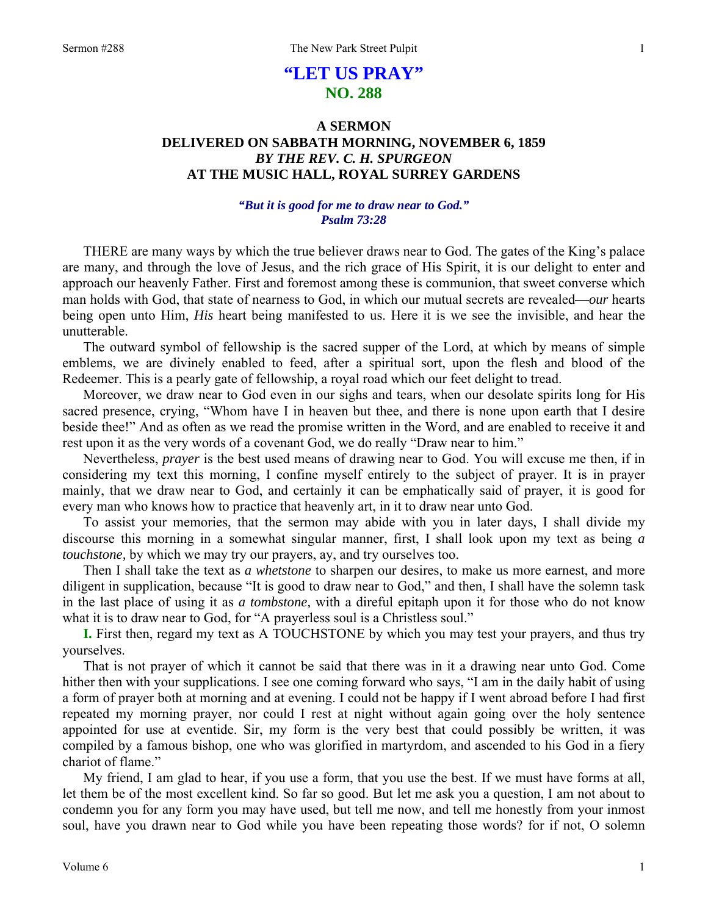# **"LET US PRAY" NO. 288**

# **A SERMON DELIVERED ON SABBATH MORNING, NOVEMBER 6, 1859**  *BY THE REV. C. H. SPURGEON*  **AT THE MUSIC HALL, ROYAL SURREY GARDENS**

# *"But it is good for me to draw near to God." Psalm 73:28*

THERE are many ways by which the true believer draws near to God. The gates of the King's palace are many, and through the love of Jesus, and the rich grace of His Spirit, it is our delight to enter and approach our heavenly Father. First and foremost among these is communion, that sweet converse which man holds with God, that state of nearness to God, in which our mutual secrets are revealed—*our* hearts being open unto Him, *His* heart being manifested to us. Here it is we see the invisible, and hear the unutterable.

The outward symbol of fellowship is the sacred supper of the Lord, at which by means of simple emblems, we are divinely enabled to feed, after a spiritual sort, upon the flesh and blood of the Redeemer. This is a pearly gate of fellowship, a royal road which our feet delight to tread.

Moreover, we draw near to God even in our sighs and tears, when our desolate spirits long for His sacred presence, crying, "Whom have I in heaven but thee, and there is none upon earth that I desire beside thee!" And as often as we read the promise written in the Word, and are enabled to receive it and rest upon it as the very words of a covenant God, we do really "Draw near to him."

Nevertheless, *prayer* is the best used means of drawing near to God. You will excuse me then, if in considering my text this morning, I confine myself entirely to the subject of prayer. It is in prayer mainly, that we draw near to God, and certainly it can be emphatically said of prayer, it is good for every man who knows how to practice that heavenly art, in it to draw near unto God.

To assist your memories, that the sermon may abide with you in later days, I shall divide my discourse this morning in a somewhat singular manner, first, I shall look upon my text as being *a touchstone,* by which we may try our prayers, ay, and try ourselves too.

Then I shall take the text as *a whetstone* to sharpen our desires, to make us more earnest, and more diligent in supplication, because "It is good to draw near to God," and then, I shall have the solemn task in the last place of using it as *a tombstone,* with a direful epitaph upon it for those who do not know what it is to draw near to God, for "A prayerless soul is a Christless soul."

**I.** First then, regard my text as A TOUCHSTONE by which you may test your prayers, and thus try yourselves.

That is not prayer of which it cannot be said that there was in it a drawing near unto God. Come hither then with your supplications. I see one coming forward who says, "I am in the daily habit of using a form of prayer both at morning and at evening. I could not be happy if I went abroad before I had first repeated my morning prayer, nor could I rest at night without again going over the holy sentence appointed for use at eventide. Sir, my form is the very best that could possibly be written, it was compiled by a famous bishop, one who was glorified in martyrdom, and ascended to his God in a fiery chariot of flame."

My friend, I am glad to hear, if you use a form, that you use the best. If we must have forms at all, let them be of the most excellent kind. So far so good. But let me ask you a question, I am not about to condemn you for any form you may have used, but tell me now, and tell me honestly from your inmost soul, have you drawn near to God while you have been repeating those words? for if not, O solemn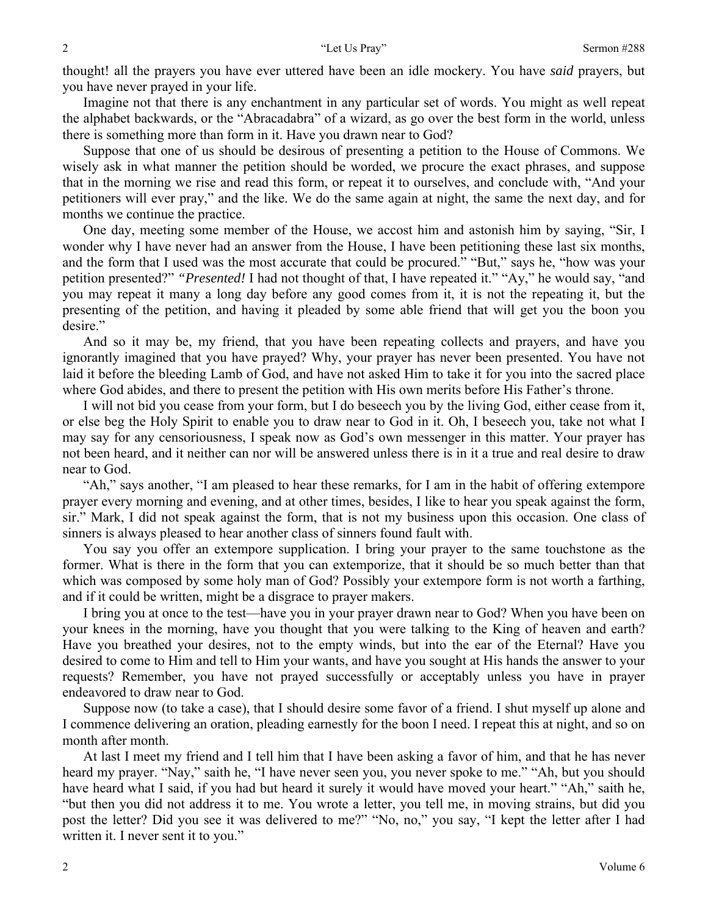thought! all the prayers you have ever uttered have been an idle mockery. You have *said* prayers, but you have never prayed in your life.

Imagine not that there is any enchantment in any particular set of words. You might as well repeat the alphabet backwards, or the "Abracadabra" of a wizard, as go over the best form in the world, unless there is something more than form in it. Have you drawn near to God?

Suppose that one of us should be desirous of presenting a petition to the House of Commons. We wisely ask in what manner the petition should be worded, we procure the exact phrases, and suppose that in the morning we rise and read this form, or repeat it to ourselves, and conclude with, "And your petitioners will ever pray," and the like. We do the same again at night, the same the next day, and for months we continue the practice.

One day, meeting some member of the House, we accost him and astonish him by saying, "Sir, I wonder why I have never had an answer from the House, I have been petitioning these last six months, and the form that I used was the most accurate that could be procured." "But," says he, "how was your petition presented?" *"Presented!* I had not thought of that, I have repeated it." "Ay," he would say, "and you may repeat it many a long day before any good comes from it, it is not the repeating it, but the presenting of the petition, and having it pleaded by some able friend that will get you the boon you desire."

And so it may be, my friend, that you have been repeating collects and prayers, and have you ignorantly imagined that you have prayed? Why, your prayer has never been presented. You have not laid it before the bleeding Lamb of God, and have not asked Him to take it for you into the sacred place where God abides, and there to present the petition with His own merits before His Father's throne.

I will not bid you cease from your form, but I do beseech you by the living God, either cease from it, or else beg the Holy Spirit to enable you to draw near to God in it. Oh, I beseech you, take not what I may say for any censoriousness, I speak now as God's own messenger in this matter. Your prayer has not been heard, and it neither can nor will be answered unless there is in it a true and real desire to draw near to God.

"Ah," says another, "I am pleased to hear these remarks, for I am in the habit of offering extempore prayer every morning and evening, and at other times, besides, I like to hear you speak against the form, sir." Mark, I did not speak against the form, that is not my business upon this occasion. One class of sinners is always pleased to hear another class of sinners found fault with.

You say you offer an extempore supplication. I bring your prayer to the same touchstone as the former. What is there in the form that you can extemporize, that it should be so much better than that which was composed by some holy man of God? Possibly your extempore form is not worth a farthing, and if it could be written, might be a disgrace to prayer makers.

I bring you at once to the test—have you in your prayer drawn near to God? When you have been on your knees in the morning, have you thought that you were talking to the King of heaven and earth? Have you breathed your desires, not to the empty winds, but into the ear of the Eternal? Have you desired to come to Him and tell to Him your wants, and have you sought at His hands the answer to your requests? Remember, you have not prayed successfully or acceptably unless you have in prayer endeavored to draw near to God.

Suppose now (to take a case), that I should desire some favor of a friend. I shut myself up alone and I commence delivering an oration, pleading earnestly for the boon I need. I repeat this at night, and so on month after month.

At last I meet my friend and I tell him that I have been asking a favor of him, and that he has never heard my prayer. "Nay," saith he, "I have never seen you, you never spoke to me." "Ah, but you should have heard what I said, if you had but heard it surely it would have moved your heart." "Ah," saith he, "but then you did not address it to me. You wrote a letter, you tell me, in moving strains, but did you post the letter? Did you see it was delivered to me?" "No, no," you say, "I kept the letter after I had written it. I never sent it to you."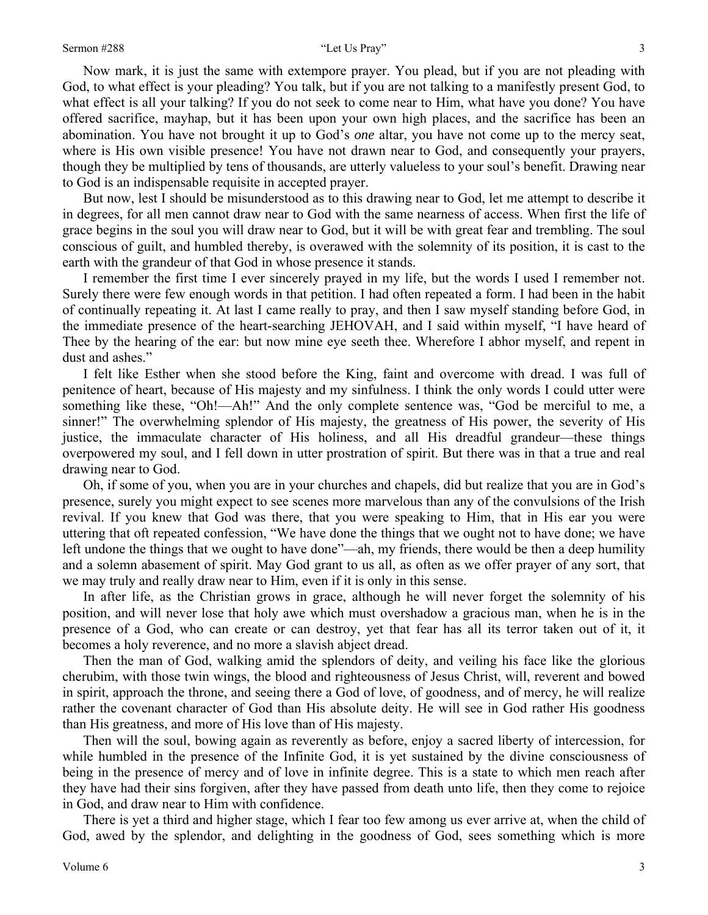Now mark, it is just the same with extempore prayer. You plead, but if you are not pleading with God, to what effect is your pleading? You talk, but if you are not talking to a manifestly present God, to what effect is all your talking? If you do not seek to come near to Him, what have you done? You have offered sacrifice, mayhap, but it has been upon your own high places, and the sacrifice has been an abomination. You have not brought it up to God's *one* altar, you have not come up to the mercy seat, where is His own visible presence! You have not drawn near to God, and consequently your prayers, though they be multiplied by tens of thousands, are utterly valueless to your soul's benefit. Drawing near to God is an indispensable requisite in accepted prayer.

But now, lest I should be misunderstood as to this drawing near to God, let me attempt to describe it in degrees, for all men cannot draw near to God with the same nearness of access. When first the life of grace begins in the soul you will draw near to God, but it will be with great fear and trembling. The soul conscious of guilt, and humbled thereby, is overawed with the solemnity of its position, it is cast to the earth with the grandeur of that God in whose presence it stands.

I remember the first time I ever sincerely prayed in my life, but the words I used I remember not. Surely there were few enough words in that petition. I had often repeated a form. I had been in the habit of continually repeating it. At last I came really to pray, and then I saw myself standing before God, in the immediate presence of the heart-searching JEHOVAH, and I said within myself, "I have heard of Thee by the hearing of the ear: but now mine eye seeth thee. Wherefore I abhor myself, and repent in dust and ashes."

I felt like Esther when she stood before the King, faint and overcome with dread. I was full of penitence of heart, because of His majesty and my sinfulness. I think the only words I could utter were something like these, "Oh!—Ah!" And the only complete sentence was, "God be merciful to me, a sinner!" The overwhelming splendor of His majesty, the greatness of His power, the severity of His justice, the immaculate character of His holiness, and all His dreadful grandeur—these things overpowered my soul, and I fell down in utter prostration of spirit. But there was in that a true and real drawing near to God.

Oh, if some of you, when you are in your churches and chapels, did but realize that you are in God's presence, surely you might expect to see scenes more marvelous than any of the convulsions of the Irish revival. If you knew that God was there, that you were speaking to Him, that in His ear you were uttering that oft repeated confession, "We have done the things that we ought not to have done; we have left undone the things that we ought to have done"—ah, my friends, there would be then a deep humility and a solemn abasement of spirit. May God grant to us all, as often as we offer prayer of any sort, that we may truly and really draw near to Him, even if it is only in this sense.

In after life, as the Christian grows in grace, although he will never forget the solemnity of his position, and will never lose that holy awe which must overshadow a gracious man, when he is in the presence of a God, who can create or can destroy, yet that fear has all its terror taken out of it, it becomes a holy reverence, and no more a slavish abject dread.

Then the man of God, walking amid the splendors of deity, and veiling his face like the glorious cherubim, with those twin wings, the blood and righteousness of Jesus Christ, will, reverent and bowed in spirit, approach the throne, and seeing there a God of love, of goodness, and of mercy, he will realize rather the covenant character of God than His absolute deity. He will see in God rather His goodness than His greatness, and more of His love than of His majesty.

Then will the soul, bowing again as reverently as before, enjoy a sacred liberty of intercession, for while humbled in the presence of the Infinite God, it is yet sustained by the divine consciousness of being in the presence of mercy and of love in infinite degree. This is a state to which men reach after they have had their sins forgiven, after they have passed from death unto life, then they come to rejoice in God, and draw near to Him with confidence.

There is yet a third and higher stage, which I fear too few among us ever arrive at, when the child of God, awed by the splendor, and delighting in the goodness of God, sees something which is more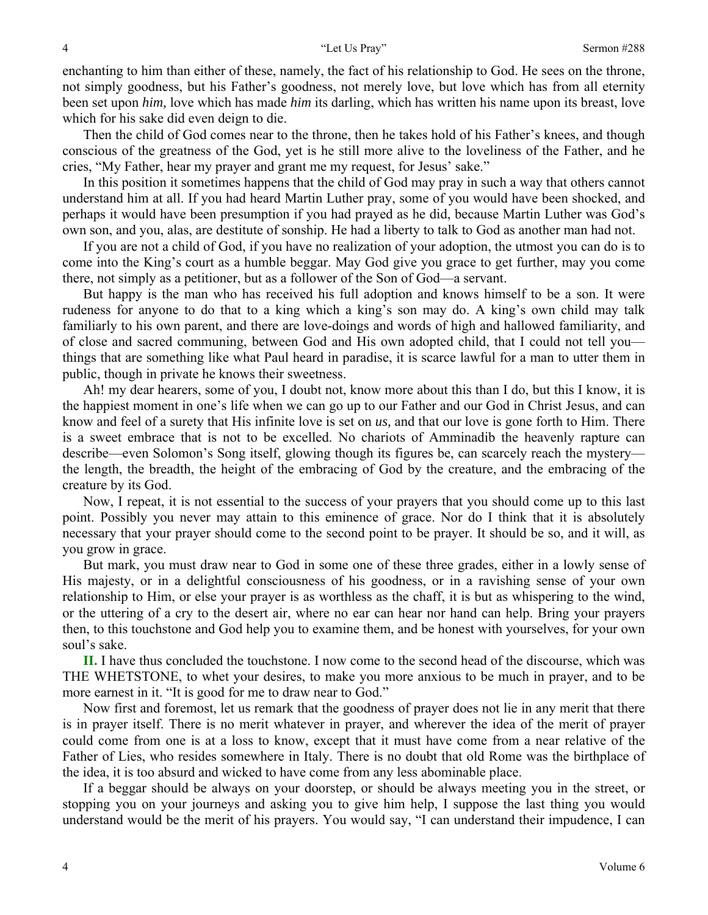enchanting to him than either of these, namely, the fact of his relationship to God. He sees on the throne, not simply goodness, but his Father's goodness, not merely love, but love which has from all eternity been set upon *him,* love which has made *him* its darling, which has written his name upon its breast, love which for his sake did even deign to die.

Then the child of God comes near to the throne, then he takes hold of his Father's knees, and though conscious of the greatness of the God, yet is he still more alive to the loveliness of the Father, and he cries, "My Father, hear my prayer and grant me my request, for Jesus' sake."

In this position it sometimes happens that the child of God may pray in such a way that others cannot understand him at all. If you had heard Martin Luther pray, some of you would have been shocked, and perhaps it would have been presumption if you had prayed as he did, because Martin Luther was God's own son, and you, alas, are destitute of sonship. He had a liberty to talk to God as another man had not.

If you are not a child of God, if you have no realization of your adoption, the utmost you can do is to come into the King's court as a humble beggar. May God give you grace to get further, may you come there, not simply as a petitioner, but as a follower of the Son of God—a servant.

But happy is the man who has received his full adoption and knows himself to be a son. It were rudeness for anyone to do that to a king which a king's son may do. A king's own child may talk familiarly to his own parent, and there are love-doings and words of high and hallowed familiarity, and of close and sacred communing, between God and His own adopted child, that I could not tell you things that are something like what Paul heard in paradise, it is scarce lawful for a man to utter them in public, though in private he knows their sweetness.

Ah! my dear hearers, some of you, I doubt not, know more about this than I do, but this I know, it is the happiest moment in one's life when we can go up to our Father and our God in Christ Jesus, and can know and feel of a surety that His infinite love is set on *us,* and that our love is gone forth to Him. There is a sweet embrace that is not to be excelled. No chariots of Amminadib the heavenly rapture can describe—even Solomon's Song itself, glowing though its figures be, can scarcely reach the mystery the length, the breadth, the height of the embracing of God by the creature, and the embracing of the creature by its God.

Now, I repeat, it is not essential to the success of your prayers that you should come up to this last point. Possibly you never may attain to this eminence of grace. Nor do I think that it is absolutely necessary that your prayer should come to the second point to be prayer. It should be so, and it will, as you grow in grace.

But mark, you must draw near to God in some one of these three grades, either in a lowly sense of His majesty, or in a delightful consciousness of his goodness, or in a ravishing sense of your own relationship to Him, or else your prayer is as worthless as the chaff, it is but as whispering to the wind, or the uttering of a cry to the desert air, where no ear can hear nor hand can help. Bring your prayers then, to this touchstone and God help you to examine them, and be honest with yourselves, for your own soul's sake.

**II.** I have thus concluded the touchstone. I now come to the second head of the discourse, which was THE WHETSTONE, to whet your desires, to make you more anxious to be much in prayer, and to be more earnest in it. "It is good for me to draw near to God."

Now first and foremost, let us remark that the goodness of prayer does not lie in any merit that there is in prayer itself. There is no merit whatever in prayer, and wherever the idea of the merit of prayer could come from one is at a loss to know, except that it must have come from a near relative of the Father of Lies, who resides somewhere in Italy. There is no doubt that old Rome was the birthplace of the idea, it is too absurd and wicked to have come from any less abominable place.

If a beggar should be always on your doorstep, or should be always meeting you in the street, or stopping you on your journeys and asking you to give him help, I suppose the last thing you would understand would be the merit of his prayers. You would say, "I can understand their impudence, I can

4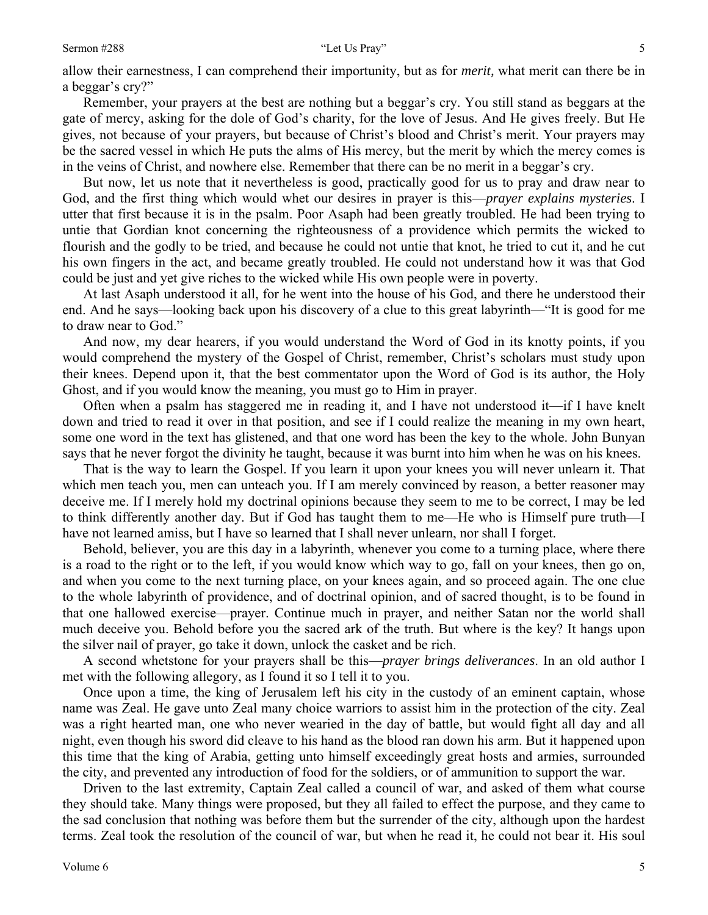### Sermon #288 "Let Us Pray"

Remember, your prayers at the best are nothing but a beggar's cry. You still stand as beggars at the gate of mercy, asking for the dole of God's charity, for the love of Jesus. And He gives freely. But He gives, not because of your prayers, but because of Christ's blood and Christ's merit. Your prayers may be the sacred vessel in which He puts the alms of His mercy, but the merit by which the mercy comes is in the veins of Christ, and nowhere else. Remember that there can be no merit in a beggar's cry.

But now, let us note that it nevertheless is good, practically good for us to pray and draw near to God, and the first thing which would whet our desires in prayer is this—*prayer explains mysteries*. I utter that first because it is in the psalm. Poor Asaph had been greatly troubled. He had been trying to untie that Gordian knot concerning the righteousness of a providence which permits the wicked to flourish and the godly to be tried, and because he could not untie that knot, he tried to cut it, and he cut his own fingers in the act, and became greatly troubled. He could not understand how it was that God could be just and yet give riches to the wicked while His own people were in poverty.

At last Asaph understood it all, for he went into the house of his God, and there he understood their end. And he says—looking back upon his discovery of a clue to this great labyrinth—"It is good for me to draw near to God."

And now, my dear hearers, if you would understand the Word of God in its knotty points, if you would comprehend the mystery of the Gospel of Christ, remember, Christ's scholars must study upon their knees. Depend upon it, that the best commentator upon the Word of God is its author, the Holy Ghost, and if you would know the meaning, you must go to Him in prayer.

Often when a psalm has staggered me in reading it, and I have not understood it—if I have knelt down and tried to read it over in that position, and see if I could realize the meaning in my own heart, some one word in the text has glistened, and that one word has been the key to the whole. John Bunyan says that he never forgot the divinity he taught, because it was burnt into him when he was on his knees.

That is the way to learn the Gospel. If you learn it upon your knees you will never unlearn it. That which men teach you, men can unteach you. If I am merely convinced by reason, a better reasoner may deceive me. If I merely hold my doctrinal opinions because they seem to me to be correct, I may be led to think differently another day. But if God has taught them to me—He who is Himself pure truth—I have not learned amiss, but I have so learned that I shall never unlearn, nor shall I forget.

Behold, believer, you are this day in a labyrinth, whenever you come to a turning place, where there is a road to the right or to the left, if you would know which way to go, fall on your knees, then go on, and when you come to the next turning place, on your knees again, and so proceed again. The one clue to the whole labyrinth of providence, and of doctrinal opinion, and of sacred thought, is to be found in that one hallowed exercise—prayer. Continue much in prayer, and neither Satan nor the world shall much deceive you. Behold before you the sacred ark of the truth. But where is the key? It hangs upon the silver nail of prayer, go take it down, unlock the casket and be rich.

A second whetstone for your prayers shall be this—*prayer brings deliverances*. In an old author I met with the following allegory, as I found it so I tell it to you.

Once upon a time, the king of Jerusalem left his city in the custody of an eminent captain, whose name was Zeal. He gave unto Zeal many choice warriors to assist him in the protection of the city. Zeal was a right hearted man, one who never wearied in the day of battle, but would fight all day and all night, even though his sword did cleave to his hand as the blood ran down his arm. But it happened upon this time that the king of Arabia, getting unto himself exceedingly great hosts and armies, surrounded the city, and prevented any introduction of food for the soldiers, or of ammunition to support the war.

Driven to the last extremity, Captain Zeal called a council of war, and asked of them what course they should take. Many things were proposed, but they all failed to effect the purpose, and they came to the sad conclusion that nothing was before them but the surrender of the city, although upon the hardest terms. Zeal took the resolution of the council of war, but when he read it, he could not bear it. His soul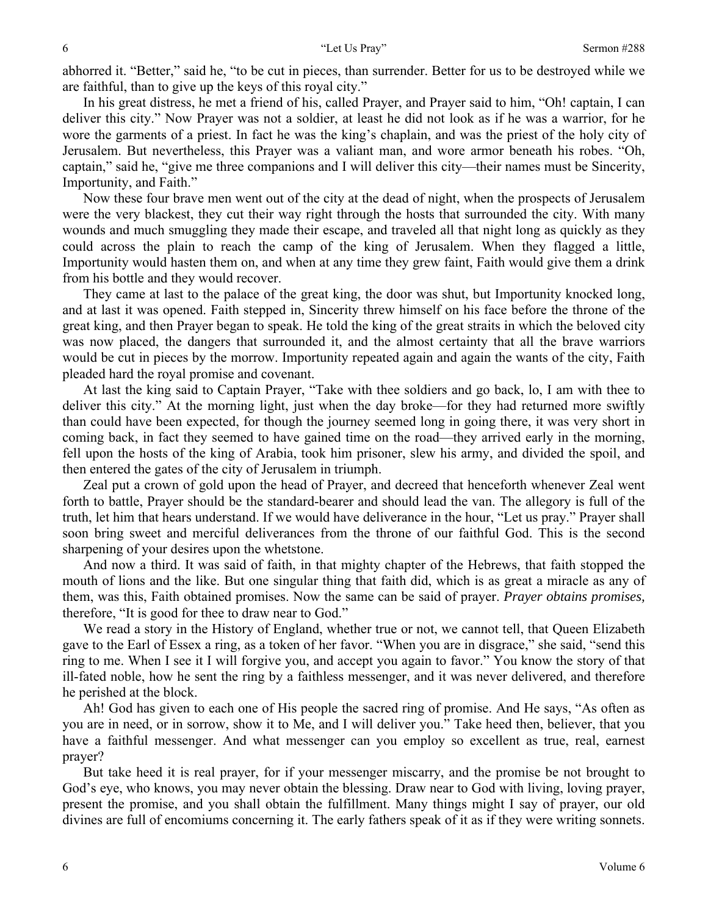abhorred it. "Better," said he, "to be cut in pieces, than surrender. Better for us to be destroyed while we are faithful, than to give up the keys of this royal city."

In his great distress, he met a friend of his, called Prayer, and Prayer said to him, "Oh! captain, I can deliver this city." Now Prayer was not a soldier, at least he did not look as if he was a warrior, for he wore the garments of a priest. In fact he was the king's chaplain, and was the priest of the holy city of Jerusalem. But nevertheless, this Prayer was a valiant man, and wore armor beneath his robes. "Oh, captain," said he, "give me three companions and I will deliver this city—their names must be Sincerity, Importunity, and Faith."

Now these four brave men went out of the city at the dead of night, when the prospects of Jerusalem were the very blackest, they cut their way right through the hosts that surrounded the city. With many wounds and much smuggling they made their escape, and traveled all that night long as quickly as they could across the plain to reach the camp of the king of Jerusalem. When they flagged a little, Importunity would hasten them on, and when at any time they grew faint, Faith would give them a drink from his bottle and they would recover.

They came at last to the palace of the great king, the door was shut, but Importunity knocked long, and at last it was opened. Faith stepped in, Sincerity threw himself on his face before the throne of the great king, and then Prayer began to speak. He told the king of the great straits in which the beloved city was now placed, the dangers that surrounded it, and the almost certainty that all the brave warriors would be cut in pieces by the morrow. Importunity repeated again and again the wants of the city, Faith pleaded hard the royal promise and covenant.

At last the king said to Captain Prayer, "Take with thee soldiers and go back, lo, I am with thee to deliver this city." At the morning light, just when the day broke—for they had returned more swiftly than could have been expected, for though the journey seemed long in going there, it was very short in coming back, in fact they seemed to have gained time on the road—they arrived early in the morning, fell upon the hosts of the king of Arabia, took him prisoner, slew his army, and divided the spoil, and then entered the gates of the city of Jerusalem in triumph.

Zeal put a crown of gold upon the head of Prayer, and decreed that henceforth whenever Zeal went forth to battle, Prayer should be the standard-bearer and should lead the van. The allegory is full of the truth, let him that hears understand. If we would have deliverance in the hour, "Let us pray." Prayer shall soon bring sweet and merciful deliverances from the throne of our faithful God. This is the second sharpening of your desires upon the whetstone.

And now a third. It was said of faith, in that mighty chapter of the Hebrews, that faith stopped the mouth of lions and the like. But one singular thing that faith did, which is as great a miracle as any of them, was this, Faith obtained promises. Now the same can be said of prayer. *Prayer obtains promises,* therefore, "It is good for thee to draw near to God."

We read a story in the History of England, whether true or not, we cannot tell, that Queen Elizabeth gave to the Earl of Essex a ring, as a token of her favor. "When you are in disgrace," she said, "send this ring to me. When I see it I will forgive you, and accept you again to favor." You know the story of that ill-fated noble, how he sent the ring by a faithless messenger, and it was never delivered, and therefore he perished at the block.

Ah! God has given to each one of His people the sacred ring of promise. And He says, "As often as you are in need, or in sorrow, show it to Me, and I will deliver you." Take heed then, believer, that you have a faithful messenger. And what messenger can you employ so excellent as true, real, earnest prayer?

But take heed it is real prayer, for if your messenger miscarry, and the promise be not brought to God's eye, who knows, you may never obtain the blessing. Draw near to God with living, loving prayer, present the promise, and you shall obtain the fulfillment. Many things might I say of prayer, our old divines are full of encomiums concerning it. The early fathers speak of it as if they were writing sonnets.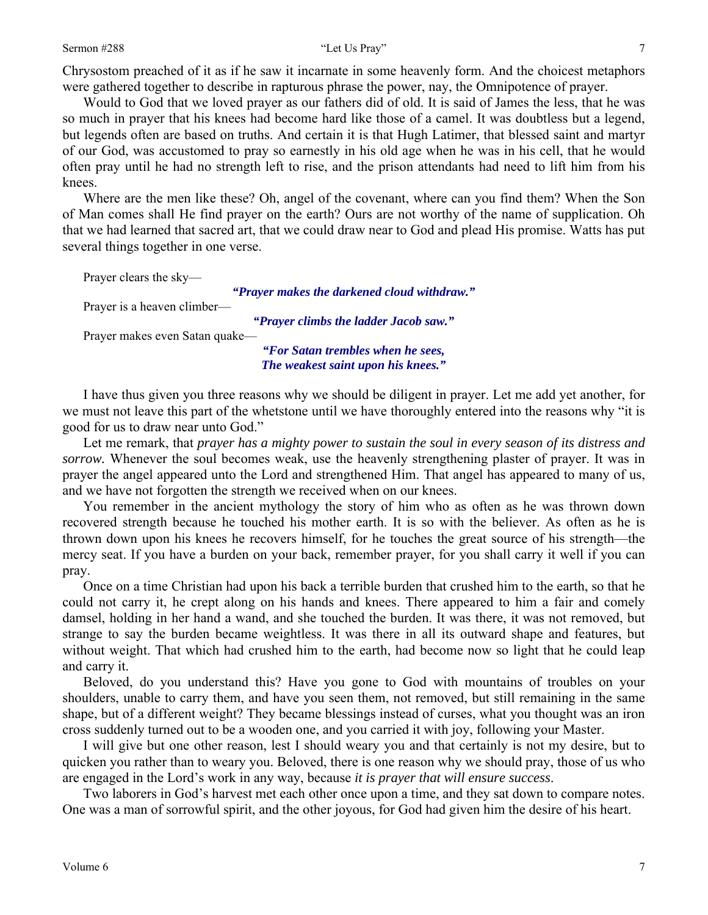Chrysostom preached of it as if he saw it incarnate in some heavenly form. And the choicest metaphors were gathered together to describe in rapturous phrase the power, nay, the Omnipotence of prayer.

Would to God that we loved prayer as our fathers did of old. It is said of James the less, that he was so much in prayer that his knees had become hard like those of a camel. It was doubtless but a legend, but legends often are based on truths. And certain it is that Hugh Latimer, that blessed saint and martyr of our God, was accustomed to pray so earnestly in his old age when he was in his cell, that he would often pray until he had no strength left to rise, and the prison attendants had need to lift him from his knees.

Where are the men like these? Oh, angel of the covenant, where can you find them? When the Son of Man comes shall He find prayer on the earth? Ours are not worthy of the name of supplication. Oh that we had learned that sacred art, that we could draw near to God and plead His promise. Watts has put several things together in one verse.

| Prayer clears the sky-         |                                             |
|--------------------------------|---------------------------------------------|
|                                | "Prayer makes the darkened cloud withdraw." |
| Prayer is a heaven climber—    |                                             |
|                                | "Prayer climbs the ladder Jacob saw."       |
| Prayer makes even Satan quake— |                                             |
|                                | "For Satan trembles when he sees,           |
|                                | The weakest saint upon his knees."          |

I have thus given you three reasons why we should be diligent in prayer. Let me add yet another, for we must not leave this part of the whetstone until we have thoroughly entered into the reasons why "it is good for us to draw near unto God."

Let me remark, that *prayer has a mighty power to sustain the soul in every season of its distress and sorrow.* Whenever the soul becomes weak, use the heavenly strengthening plaster of prayer. It was in prayer the angel appeared unto the Lord and strengthened Him. That angel has appeared to many of us, and we have not forgotten the strength we received when on our knees.

You remember in the ancient mythology the story of him who as often as he was thrown down recovered strength because he touched his mother earth. It is so with the believer. As often as he is thrown down upon his knees he recovers himself, for he touches the great source of his strength—the mercy seat. If you have a burden on your back, remember prayer, for you shall carry it well if you can pray.

Once on a time Christian had upon his back a terrible burden that crushed him to the earth, so that he could not carry it, he crept along on his hands and knees. There appeared to him a fair and comely damsel, holding in her hand a wand, and she touched the burden. It was there, it was not removed, but strange to say the burden became weightless. It was there in all its outward shape and features, but without weight. That which had crushed him to the earth, had become now so light that he could leap and carry it.

Beloved, do you understand this? Have you gone to God with mountains of troubles on your shoulders, unable to carry them, and have you seen them, not removed, but still remaining in the same shape, but of a different weight? They became blessings instead of curses, what you thought was an iron cross suddenly turned out to be a wooden one, and you carried it with joy, following your Master.

I will give but one other reason, lest I should weary you and that certainly is not my desire, but to quicken you rather than to weary you. Beloved, there is one reason why we should pray, those of us who are engaged in the Lord's work in any way, because *it is prayer that will ensure success*.

Two laborers in God's harvest met each other once upon a time, and they sat down to compare notes. One was a man of sorrowful spirit, and the other joyous, for God had given him the desire of his heart.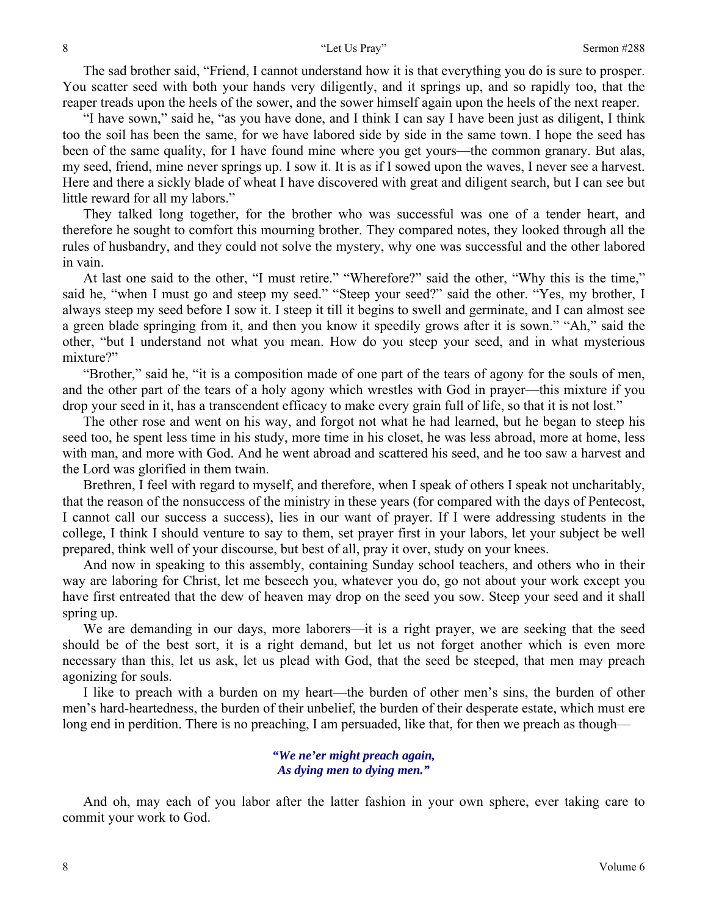The sad brother said, "Friend, I cannot understand how it is that everything you do is sure to prosper. You scatter seed with both your hands very diligently, and it springs up, and so rapidly too, that the reaper treads upon the heels of the sower, and the sower himself again upon the heels of the next reaper.

"I have sown," said he, "as you have done, and I think I can say I have been just as diligent, I think too the soil has been the same, for we have labored side by side in the same town. I hope the seed has been of the same quality, for I have found mine where you get yours—the common granary. But alas, my seed, friend, mine never springs up. I sow it. It is as if I sowed upon the waves, I never see a harvest. Here and there a sickly blade of wheat I have discovered with great and diligent search, but I can see but little reward for all my labors."

They talked long together, for the brother who was successful was one of a tender heart, and therefore he sought to comfort this mourning brother. They compared notes, they looked through all the rules of husbandry, and they could not solve the mystery, why one was successful and the other labored in vain.

At last one said to the other, "I must retire." "Wherefore?" said the other, "Why this is the time," said he, "when I must go and steep my seed." "Steep your seed?" said the other. "Yes, my brother, I always steep my seed before I sow it. I steep it till it begins to swell and germinate, and I can almost see a green blade springing from it, and then you know it speedily grows after it is sown." "Ah," said the other, "but I understand not what you mean. How do you steep your seed, and in what mysterious mixture?"

"Brother," said he, "it is a composition made of one part of the tears of agony for the souls of men, and the other part of the tears of a holy agony which wrestles with God in prayer—this mixture if you drop your seed in it, has a transcendent efficacy to make every grain full of life, so that it is not lost."

The other rose and went on his way, and forgot not what he had learned, but he began to steep his seed too, he spent less time in his study, more time in his closet, he was less abroad, more at home, less with man, and more with God. And he went abroad and scattered his seed, and he too saw a harvest and the Lord was glorified in them twain.

Brethren, I feel with regard to myself, and therefore, when I speak of others I speak not uncharitably, that the reason of the nonsuccess of the ministry in these years (for compared with the days of Pentecost, I cannot call our success a success), lies in our want of prayer. If I were addressing students in the college, I think I should venture to say to them, set prayer first in your labors, let your subject be well prepared, think well of your discourse, but best of all, pray it over, study on your knees.

And now in speaking to this assembly, containing Sunday school teachers, and others who in their way are laboring for Christ, let me beseech you, whatever you do, go not about your work except you have first entreated that the dew of heaven may drop on the seed you sow. Steep your seed and it shall spring up.

We are demanding in our days, more laborers—it is a right prayer, we are seeking that the seed should be of the best sort, it is a right demand, but let us not forget another which is even more necessary than this, let us ask, let us plead with God, that the seed be steeped, that men may preach agonizing for souls.

I like to preach with a burden on my heart—the burden of other men's sins, the burden of other men's hard-heartedness, the burden of their unbelief, the burden of their desperate estate, which must ere long end in perdition. There is no preaching, I am persuaded, like that, for then we preach as though—

> *"We ne'er might preach again, As dying men to dying men."*

And oh, may each of you labor after the latter fashion in your own sphere, ever taking care to commit your work to God.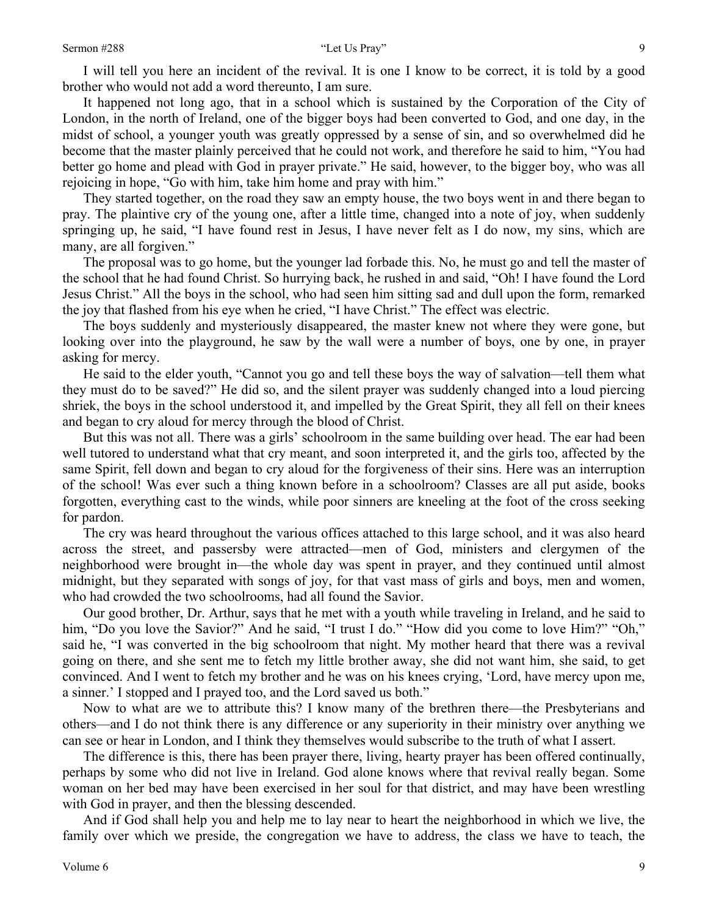### Sermon #288 "Let Us Pray"

It happened not long ago, that in a school which is sustained by the Corporation of the City of London, in the north of Ireland, one of the bigger boys had been converted to God, and one day, in the midst of school, a younger youth was greatly oppressed by a sense of sin, and so overwhelmed did he become that the master plainly perceived that he could not work, and therefore he said to him, "You had better go home and plead with God in prayer private." He said, however, to the bigger boy, who was all rejoicing in hope, "Go with him, take him home and pray with him."

They started together, on the road they saw an empty house, the two boys went in and there began to pray. The plaintive cry of the young one, after a little time, changed into a note of joy, when suddenly springing up, he said, "I have found rest in Jesus, I have never felt as I do now, my sins, which are many, are all forgiven."

The proposal was to go home, but the younger lad forbade this. No, he must go and tell the master of the school that he had found Christ. So hurrying back, he rushed in and said, "Oh! I have found the Lord Jesus Christ." All the boys in the school, who had seen him sitting sad and dull upon the form, remarked the joy that flashed from his eye when he cried, "I have Christ." The effect was electric.

The boys suddenly and mysteriously disappeared, the master knew not where they were gone, but looking over into the playground, he saw by the wall were a number of boys, one by one, in prayer asking for mercy.

He said to the elder youth, "Cannot you go and tell these boys the way of salvation—tell them what they must do to be saved?" He did so, and the silent prayer was suddenly changed into a loud piercing shriek, the boys in the school understood it, and impelled by the Great Spirit, they all fell on their knees and began to cry aloud for mercy through the blood of Christ.

But this was not all. There was a girls' schoolroom in the same building over head. The ear had been well tutored to understand what that cry meant, and soon interpreted it, and the girls too, affected by the same Spirit, fell down and began to cry aloud for the forgiveness of their sins. Here was an interruption of the school! Was ever such a thing known before in a schoolroom? Classes are all put aside, books forgotten, everything cast to the winds, while poor sinners are kneeling at the foot of the cross seeking for pardon.

The cry was heard throughout the various offices attached to this large school, and it was also heard across the street, and passersby were attracted—men of God, ministers and clergymen of the neighborhood were brought in—the whole day was spent in prayer, and they continued until almost midnight, but they separated with songs of joy, for that vast mass of girls and boys, men and women, who had crowded the two schoolrooms, had all found the Savior.

Our good brother, Dr. Arthur, says that he met with a youth while traveling in Ireland, and he said to him, "Do you love the Savior?" And he said, "I trust I do." "How did you come to love Him?" "Oh," said he, "I was converted in the big schoolroom that night. My mother heard that there was a revival going on there, and she sent me to fetch my little brother away, she did not want him, she said, to get convinced. And I went to fetch my brother and he was on his knees crying, 'Lord, have mercy upon me, a sinner.' I stopped and I prayed too, and the Lord saved us both."

Now to what are we to attribute this? I know many of the brethren there—the Presbyterians and others—and I do not think there is any difference or any superiority in their ministry over anything we can see or hear in London, and I think they themselves would subscribe to the truth of what I assert.

The difference is this, there has been prayer there, living, hearty prayer has been offered continually, perhaps by some who did not live in Ireland. God alone knows where that revival really began. Some woman on her bed may have been exercised in her soul for that district, and may have been wrestling with God in prayer, and then the blessing descended.

And if God shall help you and help me to lay near to heart the neighborhood in which we live, the family over which we preside, the congregation we have to address, the class we have to teach, the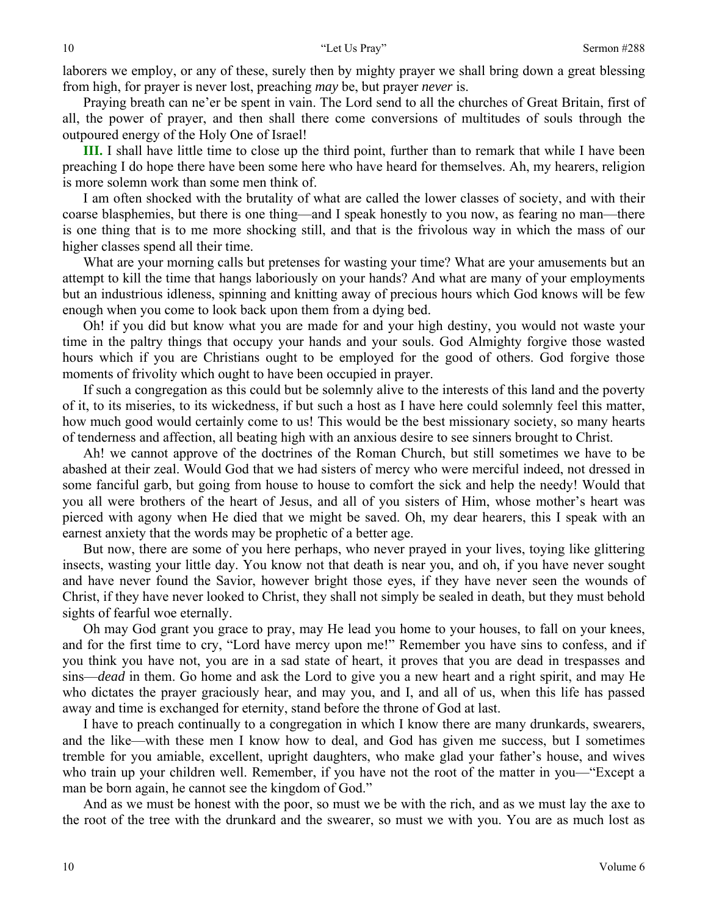laborers we employ, or any of these, surely then by mighty prayer we shall bring down a great blessing from high, for prayer is never lost, preaching *may* be, but prayer *never* is.

Praying breath can ne'er be spent in vain. The Lord send to all the churches of Great Britain, first of all, the power of prayer, and then shall there come conversions of multitudes of souls through the outpoured energy of the Holy One of Israel!

**III.** I shall have little time to close up the third point, further than to remark that while I have been preaching I do hope there have been some here who have heard for themselves. Ah, my hearers, religion is more solemn work than some men think of.

I am often shocked with the brutality of what are called the lower classes of society, and with their coarse blasphemies, but there is one thing—and I speak honestly to you now, as fearing no man—there is one thing that is to me more shocking still, and that is the frivolous way in which the mass of our higher classes spend all their time.

What are your morning calls but pretenses for wasting your time? What are your amusements but an attempt to kill the time that hangs laboriously on your hands? And what are many of your employments but an industrious idleness, spinning and knitting away of precious hours which God knows will be few enough when you come to look back upon them from a dying bed.

Oh! if you did but know what you are made for and your high destiny, you would not waste your time in the paltry things that occupy your hands and your souls. God Almighty forgive those wasted hours which if you are Christians ought to be employed for the good of others. God forgive those moments of frivolity which ought to have been occupied in prayer.

If such a congregation as this could but be solemnly alive to the interests of this land and the poverty of it, to its miseries, to its wickedness, if but such a host as I have here could solemnly feel this matter, how much good would certainly come to us! This would be the best missionary society, so many hearts of tenderness and affection, all beating high with an anxious desire to see sinners brought to Christ.

Ah! we cannot approve of the doctrines of the Roman Church, but still sometimes we have to be abashed at their zeal. Would God that we had sisters of mercy who were merciful indeed, not dressed in some fanciful garb, but going from house to house to comfort the sick and help the needy! Would that you all were brothers of the heart of Jesus, and all of you sisters of Him, whose mother's heart was pierced with agony when He died that we might be saved. Oh, my dear hearers, this I speak with an earnest anxiety that the words may be prophetic of a better age.

But now, there are some of you here perhaps, who never prayed in your lives, toying like glittering insects, wasting your little day. You know not that death is near you, and oh, if you have never sought and have never found the Savior, however bright those eyes, if they have never seen the wounds of Christ, if they have never looked to Christ, they shall not simply be sealed in death, but they must behold sights of fearful woe eternally.

Oh may God grant you grace to pray, may He lead you home to your houses, to fall on your knees, and for the first time to cry, "Lord have mercy upon me!" Remember you have sins to confess, and if you think you have not, you are in a sad state of heart, it proves that you are dead in trespasses and sins—*dead* in them. Go home and ask the Lord to give you a new heart and a right spirit, and may He who dictates the prayer graciously hear, and may you, and I, and all of us, when this life has passed away and time is exchanged for eternity, stand before the throne of God at last.

I have to preach continually to a congregation in which I know there are many drunkards, swearers, and the like—with these men I know how to deal, and God has given me success, but I sometimes tremble for you amiable, excellent, upright daughters, who make glad your father's house, and wives who train up your children well. Remember, if you have not the root of the matter in you—"Except a man be born again, he cannot see the kingdom of God."

And as we must be honest with the poor, so must we be with the rich, and as we must lay the axe to the root of the tree with the drunkard and the swearer, so must we with you. You are as much lost as

10